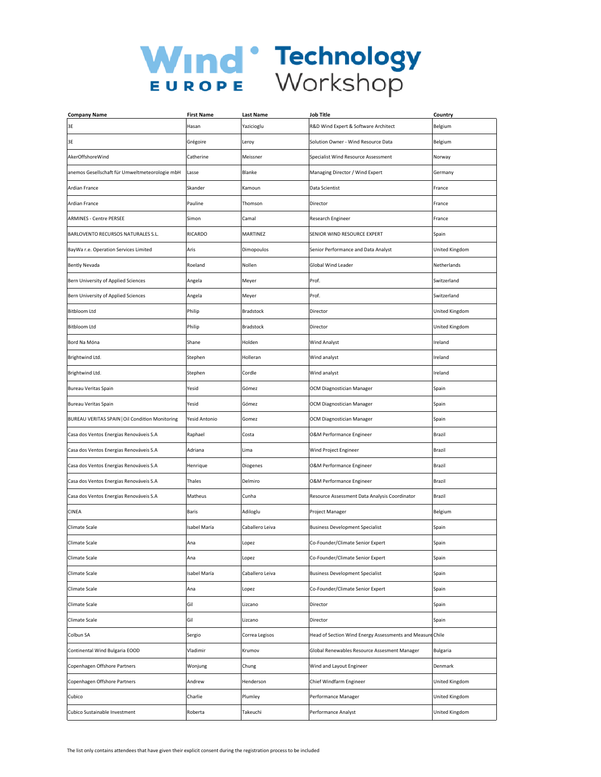| <b>Company Name</b>                             | <b>First Name</b> | Last Name       | Job Title                                                 | Country         |
|-------------------------------------------------|-------------------|-----------------|-----------------------------------------------------------|-----------------|
| 3E                                              | Hasan             | Yazicioglu      | R&D Wind Expert & Software Architect                      | Belgium         |
| 3E                                              | Grégoire          | Leroy           | Solution Owner - Wind Resource Data                       | Belgium         |
| AkerOffshoreWind                                | Catherine         | Meissner        | Specialist Wind Resource Assessment                       | Norway          |
| anemos Gesellschaft für Umweltmeteorologie mbH  | Lasse             | Blanke          | Managing Director / Wind Expert                           | Germany         |
| Ardian France                                   | Skander           | Kamoun          | Data Scientist                                            | France          |
| <b>Ardian France</b>                            | Pauline           | Thomson         | Director                                                  | France          |
| <b>ARMINES - Centre PERSEE</b>                  | Simon             | Camal           | Research Engineer                                         | France          |
| BARLOVENTO RECURSOS NATURALES S.L.              | RICARDO           | <b>MARTINEZ</b> | SENIOR WIND RESOURCE EXPERT                               | Spain           |
| BayWa r.e. Operation Services Limited           | Aris              | Dimopoulos      | Senior Performance and Data Analyst                       | United Kingdom  |
| <b>Bently Nevada</b>                            | Roeland           | Nollen          | Global Wind Leader                                        | Netherlands     |
| Bern University of Applied Sciences             | Angela            | Meyer           | Prof.                                                     | Switzerland     |
| Bern University of Applied Sciences             | Angela            | Meyer           | Prof.                                                     | Switzerland     |
| <b>Bitbloom Ltd</b>                             | Philip            | Bradstock       | Director                                                  | United Kingdom  |
| Bitbloom Ltd                                    | Philip            | Bradstock       | Director                                                  | United Kingdom  |
| Bord Na Móna                                    | Shane             | Holden          | Wind Analyst                                              | Ireland         |
| Brightwind Ltd.                                 | Stephen           | Holleran        | Wind analyst                                              | Ireland         |
| Brightwind Ltd.                                 | Stephen           | Cordle          | Wind analyst                                              | Ireland         |
| Bureau Veritas Spain                            | Yesid             | Gómez           | <b>OCM Diagnostician Manager</b>                          | Spain           |
| Bureau Veritas Spain                            | Yesid             | Gómez           | OCM Diagnostician Manager                                 | Spain           |
| BUREAU VERITAS SPAIN   Oil Condition Monitoring | Yesid Antonio     | Gomez           | OCM Diagnostician Manager                                 | Spain           |
| Casa dos Ventos Energias Renováveis S.A         | Raphael           | Costa           | O&M Performance Engineer                                  | Brazil          |
| Casa dos Ventos Energias Renováveis S.A         | Adriana           | Lima            | Wind Project Engineer                                     | Brazil          |
| Casa dos Ventos Energias Renováveis S.A         | Henrique          | Diogenes        | O&M Performance Engineer                                  | Brazil          |
| Casa dos Ventos Energias Renováveis S.A         | Thales            | Delmiro         | O&M Performance Engineer                                  | Brazil          |
| Casa dos Ventos Energias Renováveis S.A         | Matheus           | Cunha           | Resource Assessment Data Analysis Coordinator             | Brazil          |
| <b>CINEA</b>                                    | <b>Baris</b>      | Adiloglu        | Project Manager                                           | Belgium         |
| Climate Scale                                   | Isabel María      | Caballero Leiva | <b>Business Development Specialist</b>                    | Spain           |
| Climate Scale                                   | Ana               | Lopez           | Co-Founder/Climate Senior Expert                          | Spain           |
| Climate Scale                                   | Ana               | Lopez           | Co-Founder/Climate Senior Expert                          | Spain           |
| Climate Scale                                   | Isabel María      | Caballero Leiva | <b>Business Development Specialist</b>                    | Spain           |
| Climate Scale                                   | Ana               | Lopez           | Co-Founder/Climate Senior Expert                          | Spain           |
| Climate Scale                                   | Gil               | Lizcano         | Director                                                  | Spain           |
| Climate Scale                                   | Gil               | Lizcano         | Director                                                  | Spain           |
| Colbun SA                                       | Sergio            | Correa Legisos  | Head of Section Wind Energy Assessments and Measure Chile |                 |
| Continental Wind Bulgaria EOOD                  | Vladimir          | Krumov          | Global Renewables Resource Assesment Manager              | <b>Bulgaria</b> |
| Copenhagen Offshore Partners                    | Wonjung           | Chung           | Wind and Layout Engineer                                  | Denmark         |
| Copenhagen Offshore Partners                    | Andrew            | Henderson       | Chief Windfarm Engineer                                   | United Kingdom  |
| Cubico                                          | Charlie           | Plumley         | Performance Manager                                       | United Kingdom  |
| Cubico Sustainable Investment                   | Roberta           | Takeuchi        | Performance Analyst                                       | United Kingdom  |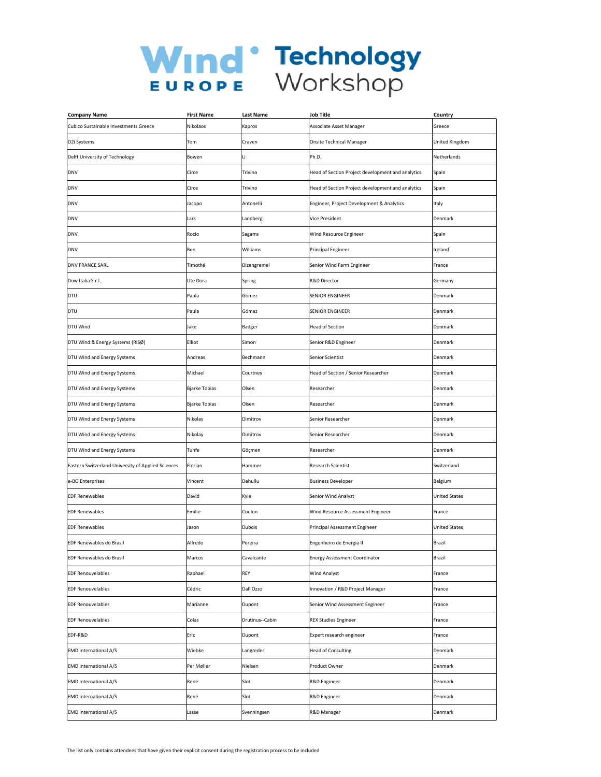| <b>Company Name</b>                                | <b>First Name</b>    | Last Name       | <b>Job Title</b>                                  | Country              |
|----------------------------------------------------|----------------------|-----------------|---------------------------------------------------|----------------------|
| Cubico Sustainable Investments Greece              | Nikolaos             | Kapros          | Associate Asset Manager                           | Greece               |
| D2i Systems                                        | Tom                  | Craven          | <b>Onsite Technical Manager</b>                   | United Kingdom       |
| Delft University of Technology                     | Bowen                | Li              | Ph.D.                                             | Netherlands          |
| <b>DNV</b>                                         | Circe                | Trivino         | Head of Section Project development and analytics | Spain                |
| <b>DNV</b>                                         | Circe                | Trivino         | Head of Section Project development and analytics | Spain                |
| <b>DNV</b>                                         | Jacopo               | Antonelli       | Engineer, Project Development & Analytics         | Italy                |
| <b>DNV</b>                                         | Lars                 | Landberg        | Vice President                                    | Denmark              |
| <b>DNV</b>                                         | Rocio                | Sagarra         | Wind Resource Engineer                            | Spain                |
| <b>DNV</b>                                         | Ben                  | Williams        | Principal Engineer                                | Ireland              |
| <b>DNV FRANCE SARL</b>                             | Timothé              | Dizengremel     | Senior Wind Farm Engineer                         | France               |
| Dow Italia S.r.l.                                  | Ute Dora             | Spring          | R&D Director                                      | Germany              |
| DTU                                                | Paula                | Gómez           | SENIOR ENGINEER                                   | Denmark              |
| DTU                                                | Paula                | Gómez           | <b>SENIOR ENGINEER</b>                            | Denmark              |
| DTU Wind                                           | Jake                 | Badger          | <b>Head of Section</b>                            | Denmark              |
| DTU Wind & Energy Systems (RISØ)                   | Elliot               | Simon           | Senior R&D Engineer                               | Denmark              |
| DTU Wind and Energy Systems                        | Andreas              | Bechmann        | Senior Scientist                                  | Denmark              |
| DTU Wind and Energy Systems                        | Michael              | Courtney        | Head of Section / Senior Researcher               | Denmark              |
| DTU Wind and Energy Systems                        | <b>Bjarke Tobias</b> | Olsen           | Researcher                                        | Denmark              |
| DTU Wind and Energy Systems                        | <b>Bjarke Tobias</b> | Olsen           | Researcher                                        | Denmark              |
| DTU Wind and Energy Systems                        | Nikolay              | Dimitrov        | Senior Researcher                                 | Denmark              |
| DTU Wind and Energy Systems                        | Nikolay              | Dimitrov        | Senior Researcher                                 | Denmark              |
| DTU Wind and Energy Systems                        | Tuhfe                | Göçmen          | Researcher                                        | Denmark              |
| Eastern Switzerland University of Applied Sciences | Florian              | Hammer          | Research Scientist                                | Switzerland          |
| e-BO Enterprises                                   | Vincent              | Dehullu         | <b>Business Developer</b>                         | Belgium              |
| <b>EDF Renewables</b>                              | David                | Kyle            | Senior Wind Analyst                               | <b>United States</b> |
| <b>EDF Renewables</b>                              | Emilie               | Coulon          | Wind Resource Assessment Engineer                 | France               |
| <b>EDF Renewables</b>                              | Jason                | Dubois          | Principal Assessment Engineer                     | <b>United States</b> |
| EDF Renewables do Brasil                           | Alfredo              | Pereira         | Engenheiro de Energia II                          | Brazil               |
| <b>EDF Renewables do Brasil</b>                    | Marcos               | Cavalcante      | <b>Energy Assessment Coordinator</b>              | Brazil               |
| <b>EDF Renouvelables</b>                           | Raphael              | REY             | <b>Wind Analyst</b>                               | France               |
| <b>EDF Renouvelables</b>                           | Cédric               | Dall'Ozzo       | Innovation / R&D Project Manager                  | France               |
| <b>EDF Renouvelables</b>                           | Marianne             | Dupont          | Senior Wind Assessment Engineer                   | France               |
| <b>EDF Renouvelables</b>                           | Colas                | Drutinus--Cabin | <b>REX Studies Engineer</b>                       | France               |
| EDF-R&D                                            | Eric                 | Dupont          | Expert research engineer                          | France               |
| <b>EMD International A/S</b>                       | Wiebke               | Langreder       | <b>Head of Consulting</b>                         | Denmark              |
| EMD International A/S                              | Per Møller           | Nielsen         | Product Owner                                     | Denmark              |
| <b>EMD International A/S</b>                       | René                 | Slot            | R&D Engineer                                      | Denmark              |
| <b>EMD International A/S</b>                       | René                 | Slot            | R&D Engineer                                      | Denmark              |
| <b>EMD International A/S</b>                       | Lasse                | Svenningsen     | R&D Manager                                       | Denmark              |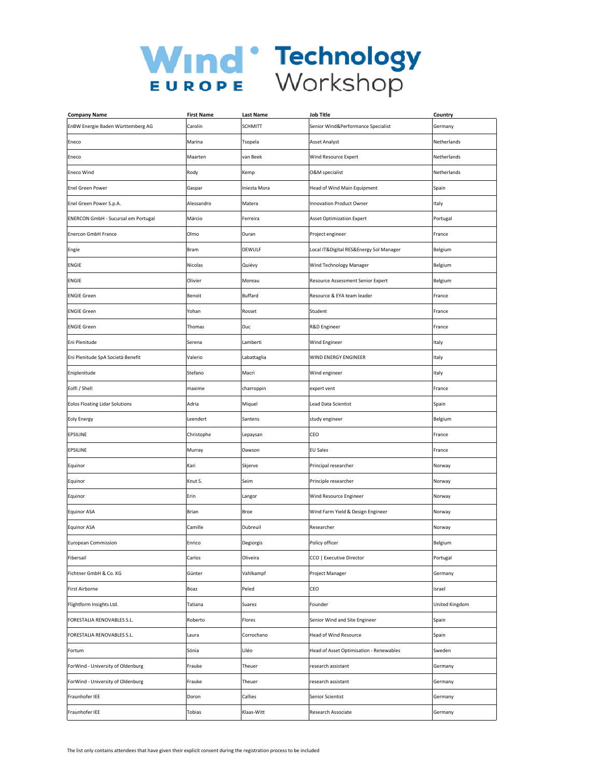| <b>Company Name</b>                   | <b>First Name</b> | Last Name      | <b>Job Title</b>                        | Country        |
|---------------------------------------|-------------------|----------------|-----------------------------------------|----------------|
| EnBW Energie Baden Württemberg AG     | Carolin           | <b>SCHMITT</b> | Senior Wind&Performance Specialist      | Germany        |
| Eneco                                 | Marina            | Tsopela        | Asset Analyst                           | Netherlands    |
| Eneco                                 | Maarten           | van Beek       | Wind Resource Expert                    | Netherlands    |
| <b>Eneco Wind</b>                     | Rody              | Kemp           | O&M specialist                          | Netherlands    |
| <b>Enel Green Power</b>               | Gaspar            | Iniesta Mora   | Head of Wind Main Equipment             | Spain          |
| Enel Green Power S.p.A.               | Alessandro        | Matera         | Innovation Product Owner                | Italy          |
| ENERCON GmbH - Sucursal em Portugal   | Márcio            | Ferreira       | <b>Asset Optimization Expert</b>        | Portugal       |
| <b>Enercon GmbH France</b>            | Olmo              | Duran          | Project engineer                        | France         |
| Engie                                 | Bram              | DEWULF         | Local IT&Digital RES&Energy Sol Manager | Belgium        |
| ENGIE                                 | Nicolas           | Quiévy         | Wind Technology Manager                 | Belgium        |
| <b>ENGIE</b>                          | Olivier           | Moreau         | Resource Assessment Senior Expert       | Belgium        |
| <b>ENGIE Green</b>                    | Benoit            | Buffard        | Resource & EYA team leader              | France         |
| <b>ENGIE Green</b>                    | Yohan             | Rosset         | Student                                 | France         |
| <b>ENGIE Green</b>                    | Thomas            | Duc            | R&D Engineer                            | France         |
| Eni Plenitude                         | Serena            | Lamberti       | Wind Engineer                           | Italy          |
| Eni Plenitude SpA Società Benefit     | Valerio           | Labattaglia    | WIND ENERGY ENGINEER                    | Italy          |
| Eniplenitude                          | Stefano           | Macrì          | Wind engineer                           | Italy          |
| Eolfi / Shell                         | maxime            | charroppin     | expert vent                             | France         |
| <b>Eolos Floating Lidar Solutions</b> | Adria             | Miquel         | Lead Data Scientist                     | Spain          |
| <b>Eoly Energy</b>                    | Leendert          | Santens        | study engineer                          | Belgium        |
| EPSILINE                              | Christophe        | Lepaysan       | CEO                                     | France         |
| EPSILINE                              | Murray            | Dawson         | <b>EU Sales</b>                         | France         |
| Equinor                               | Kari              | Skjerve        | Principal researcher                    | Norway         |
| Equinor                               | Knut S.           | Seim           | Principle researcher                    | Norway         |
| Equinor                               | Erin              | Langor         | Wind Resource Engineer                  | Norway         |
| <b>Equinor ASA</b>                    | Brian             | Broe           | Wind Farm Yield & Design Engineer       | Norway         |
| <b>Equinor ASA</b>                    | Camille           | Dubreuil       | Researcher                              | Norway         |
| <b>European Commission</b>            | Enrico            | Degiorgis      | Policy officer                          | Belgium        |
| Fibersail                             | Carlos            | Oliveira       | CCO   Executive Director                | Portugal       |
| Fichtner GmbH & Co. KG                | Günter            | Vahlkampf      | Project Manager                         | Germany        |
| <b>First Airborne</b>                 | Boaz              | Peled          | CEO                                     | Israel         |
| Flightform Insights Ltd.              | Tatiana           | Suarez         | Founder                                 | United Kingdom |
| FORESTALIA RENOVABLES S.L.            | Roberto           | Flores         | Senior Wind and Site Engineer           | Spain          |
| FORESTALIA RENOVABLES S.L.            | Laura             | Corrochano     | Head of Wind Resource                   | Spain          |
| Fortum                                | Sónia             | Liléo          | Head of Asset Optimisation - Renewables | Sweden         |
| ForWind - University of Oldenburg     | Frauke            | Theuer         | research assistant                      | Germany        |
| ForWind - University of Oldenburg     | Frauke            | Theuer         | research assistant                      | Germany        |
| Fraunhofer IEE                        | Doron             | Callies        | Senior Scientist                        | Germany        |
| Fraunhofer IEE                        | Tobias            | Klaas-Witt     | Research Associate                      | Germany        |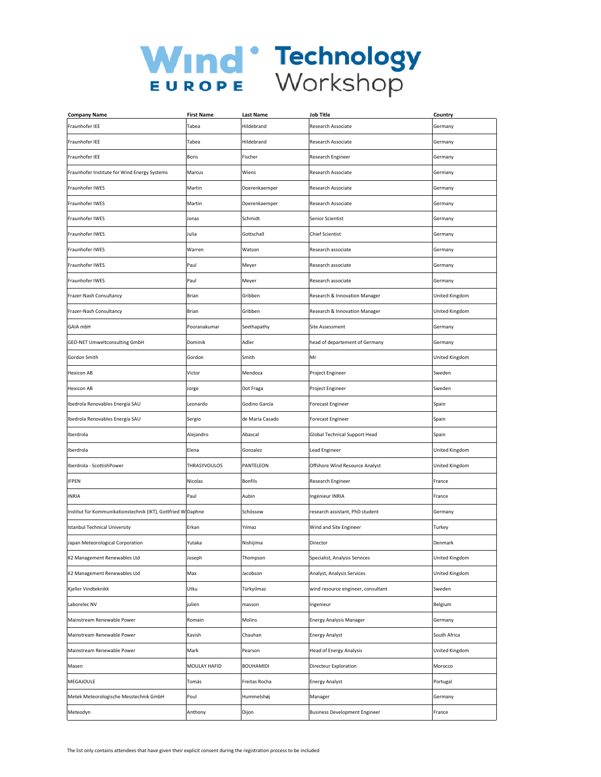| <b>Company Name</b>                                          | <b>First Name</b> | <b>Last Name</b> | <b>Job Title</b>                     | Country        |
|--------------------------------------------------------------|-------------------|------------------|--------------------------------------|----------------|
| Fraunhofer IEE                                               | Tabea             | Hildebrand       | Research Associate                   | Germany        |
| Fraunhofer IEE                                               | Tabea             | Hildebrand       | Research Associate                   | Germany        |
| Fraunhofer IEE                                               | Boris             | Fischer          | Research Engineer                    | Germany        |
| Fraunhofer Institute for Wind Energy Systems                 | Marcus            | Wiens            | Research Associate                   | Germany        |
| Fraunhofer IWES                                              | Martin            | Doerenkaemper    | Research Associate                   | Germany        |
| Fraunhofer IWES                                              | Martin            | Doerenkaemper    | Research Associate                   | Germany        |
| Fraunhofer IWES                                              | Jonas             | Schmidt          | Senior Scientist                     | Germany        |
| Fraunhofer IWES                                              | Julia             | Gottschall       | <b>Chief Scientist</b>               | Germany        |
| Fraunhofer IWES                                              | Warren            | Watson           | Research associate                   | Germany        |
| Fraunhofer IWES                                              | Paul              | Meyer            | Research associate                   | Germany        |
| Fraunhofer IWES                                              | Paul              | Meyer            | Research associate                   | Germany        |
| Frazer-Nash Consultancy                                      | <b>Brian</b>      | Gribben          | Research & Innovation Manager        | United Kingdom |
| Frazer-Nash Consultancy                                      | Brian             | Gribben          | Research & Innovation Manager        | United Kingdom |
| GAIA mbH                                                     | Pooranakumar      | Seethapathy      | Site Assessment                      | Germany        |
| GEO-NET Umweltconsulting GmbH                                | Dominik           | Adler            | head of departement of Germany       | Germany        |
| Gordon Smith                                                 | Gordon            | Smith            | Mr                                   | United Kingdom |
| <b>Hexicon AB</b>                                            | Victor            | Mendoza          | Project Engineer                     | Sweden         |
| <b>Hexicon AB</b>                                            | Jorge             | Dot Fraga        | Project Engineer                     | Sweden         |
| Ibedrola Renovables Energía SAU                              | Leonardo          | Godino García    | Forecast Engineer                    | Spain          |
| Ibedrola Renovables Energía SAU                              | Sergio            | de María Casado  | Forecast Engineer                    | Spain          |
| Iberdrola                                                    | Alejandro         | Abascal          | Global Technical Support Head        | Spain          |
| Iberdrola                                                    | Elena             | Gonzalez         | Lead Engineer                        | United Kingdom |
| Iberdrola - ScottishPower                                    | THRASYVOULOS      | PANTELEON        | Offshore Wind Resource Analyst       | United Kingdom |
| <b>IFPEN</b>                                                 | Nicolas           | <b>Bonfils</b>   | Research Engineer                    | France         |
| <b>INRIA</b>                                                 | Paul              | Aubin            | Ingénieur INRIA                      | France         |
| Institut für Kommunikationstechnik (IKT), Gottfried W Daphne |                   | Schössow         | research assistant, PhD student      | Germany        |
| <b>Istanbul Technical University</b>                         | Erkan             | Yılmaz           | Wind and Site Engineer               | Turkey         |
| Japan Meteorological Corporation                             | Yutaka            | Nishijima        | Director                             | Denmark        |
| K2 Management Renewables Ltd                                 | Joseph            | Thompson         | Specialist, Analysis Services        | United Kingdom |
| K2 Management Renewables Ltd                                 | Max               | Jacobson         | Analyst, Analysis Services           | United Kingdom |
| Kjeller Vindteknikk                                          | Utku              | Türkyilmaz       | wind resource engineer, consultant   | Sweden         |
| Laborelec NV                                                 | julien            | masson           | Ingenieur                            | Belgium        |
| Mainstream Renewable Power                                   | Romain            | Molins           | <b>Energy Analysis Manager</b>       | Germany        |
| Mainstream Renewable Power                                   | Kavish            | Chauhan          | <b>Energy Analyst</b>                | South Africa   |
| Mainstream Renewable Power                                   | Mark              | Pearson          | <b>Head of Energy Analysis</b>       | United Kingdom |
| Masen                                                        | MOULAY HAFID      | <b>BOUHAMIDI</b> | Directeur Exploration                | Morocco        |
| MEGAJOULE                                                    | Tomás             | Freitas Rocha    | <b>Energy Analyst</b>                | Portugal       |
| Metek Meteorologische Messtechnik GmbH                       | Poul              | Hummelshøj       | Manager                              | Germany        |
| Meteodyn                                                     | Anthony           | Dijon            | <b>Business Development Engineer</b> | France         |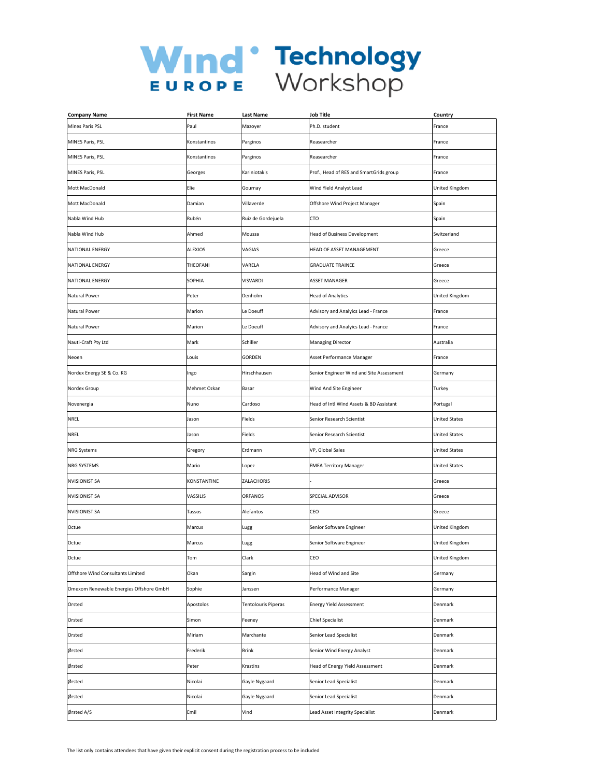| <b>Company Name</b>                     | <b>First Name</b> | Last Name           | Job Title                                | Country               |
|-----------------------------------------|-------------------|---------------------|------------------------------------------|-----------------------|
| Mines Paris PSL                         | Paul              | Mazoyer             | Ph.D. student                            | France                |
| MINES Paris, PSL                        | Konstantinos      | Parginos            | Reasearcher                              | France                |
| MINES Paris, PSL                        | Konstantinos      | Parginos            | Reasearcher                              | France                |
| MINES Paris, PSL                        | Georges           | Kariniotakis        | Prof., Head of RES and SmartGrids group  | France                |
| Mott MacDonald                          | Elie              | Gournay             | Wind Yield Analyst Lead                  | United Kingdom        |
| Mott MacDonald                          | Damian            | Villaverde          | Offshore Wind Project Manager            | Spain                 |
| Nabla Wind Hub                          | Rubén             | Ruiz de Gordejuela  | CTO                                      | Spain                 |
| Nabla Wind Hub                          | Ahmed             | Moussa              | <b>Head of Business Development</b>      | Switzerland           |
| NATIONAL ENERGY                         | <b>ALEXIOS</b>    | VAGIAS              | HEAD OF ASSET MANAGEMENT                 | Greece                |
| NATIONAL ENERGY                         | THEOFANI          | VARELA              | <b>GRADUATE TRAINEE</b>                  | Greece                |
| NATIONAL ENERGY                         | SOPHIA            | VISVARDI            | <b>ASSET MANAGER</b>                     | Greece                |
| Natural Power                           | Peter             | Denholm             | <b>Head of Analytics</b>                 | United Kingdom        |
| Natural Power                           | Marion            | Le Doeuff           | Advisory and Analyics Lead - France      | France                |
| Natural Power                           | Marion            | Le Doeuff           | Advisory and Analyics Lead - France      | France                |
| Nauti-Craft Pty Ltd                     | Mark              | Schiller            | <b>Managing Director</b>                 | Australia             |
| Neoen                                   | Louis             | GORDEN              | Asset Performance Manager                | France                |
| Nordex Energy SE & Co. KG               | Ingo              | Hirschhausen        | Senior Engineer Wind and Site Assessment | Germany               |
| Nordex Group                            | Mehmet Ozkan      | Basar               | Wind And Site Engineer                   | Turkey                |
| Novenergia                              | Nuno              | Cardoso             | Head of Intl Wind Assets & BD Assistant  | Portugal              |
| NREL                                    | Jason             | Fields              | Senior Research Scientist                | <b>United States</b>  |
| NREL                                    | Jason             | Fields              | Senior Research Scientist                | <b>United States</b>  |
| <b>NRG Systems</b>                      | Gregory           | Erdmann             | VP, Global Sales                         | <b>United States</b>  |
| NRG SYSTEMS                             | Mario             | Lopez               | <b>EMEA Territory Manager</b>            | <b>United States</b>  |
| <b>NVISIONIST SA</b>                    | KONSTANTINE       | ZALACHORIS          |                                          | Greece                |
| <b>NVISIONIST SA</b>                    | VASSILIS          | ORFANOS             | SPECIAL ADVISOR                          | Greece                |
| <b>NVISIONIST SA</b>                    | Tassos            | Alefantos           | CEO                                      | Greece                |
| Octue                                   | Marcus            | Lugg                | Senior Software Engineer                 | United Kingdom        |
| Octue                                   | Marcus            | Lugg                | Senior Software Engineer                 | United Kingdom        |
| Octue                                   | Tom               | Clark               | CEO                                      | <b>United Kingdom</b> |
| Offshore Wind Consultants Limited       | Okan              | Sargin              | Head of Wind and Site                    | Germany               |
| Omexom Renewable Energies Offshore GmbH | Sophie            | Janssen             | Performance Manager                      | Germany               |
| Orsted                                  | Apostolos         | Tentolouris Piperas | <b>Energy Yield Assessment</b>           | Denmark               |
| Orsted                                  | Simon             | Feeney              | <b>Chief Specialist</b>                  | Denmark               |
| Orsted                                  | Miriam            | Marchante           | Senior Lead Specialist                   | Denmark               |
| Ørsted                                  | Frederik          | <b>Brink</b>        | Senior Wind Energy Analyst               | Denmark               |
| Ørsted                                  | Peter             | Krastins            | Head of Energy Yield Assessment          | Denmark               |
| Ørsted                                  | Nicolai           | Gayle Nygaard       | Senior Lead Specialist                   | Denmark               |
| Ørsted                                  | Nicolai           | Gayle Nygaard       | Senior Lead Specialist                   | Denmark               |
| Ørsted A/S                              | Emil              | Vind                | Lead Asset Integrity Specialist          | Denmark               |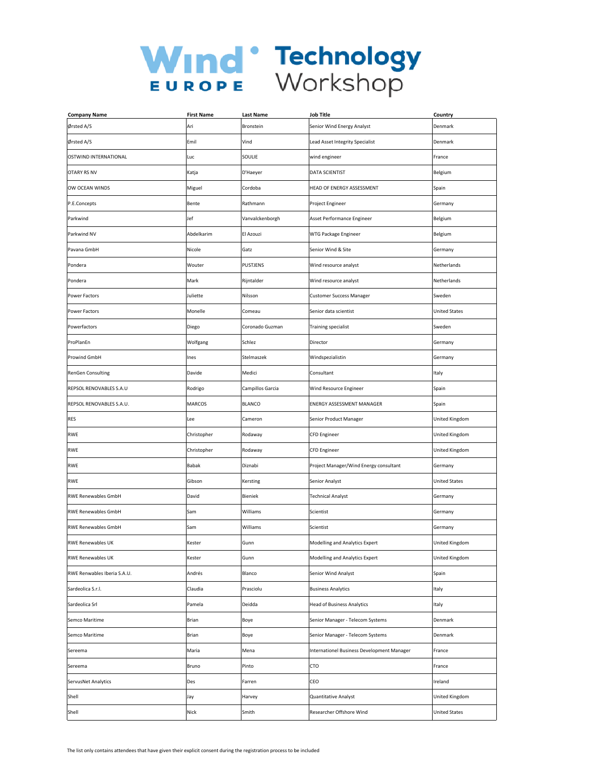| <b>Company Name</b>         | <b>First Name</b> | Last Name        | <b>Job Title</b>                           | Country              |
|-----------------------------|-------------------|------------------|--------------------------------------------|----------------------|
| Ørsted A/S                  | Ari               | Bronstein        | Senior Wind Energy Analyst                 | Denmark              |
| Ørsted A/S                  | Emil              | Vind             | Lead Asset Integrity Specialist            | Denmark              |
| OSTWIND INTERNATIONAL       | Luc               | SOULIE           | wind engineer                              | France               |
| <b>OTARY RS NV</b>          | Katja             | D'Haeyer         | DATA SCIENTIST                             | Belgium              |
| OW OCEAN WINDS              | Miguel            | Cordoba          | HEAD OF ENERGY ASSESSMENT                  | Spain                |
| P.E.Concepts                | Bente             | Rathmann         | Project Engineer                           | Germany              |
| Parkwind                    | Jef               | Vanvalckenborgh  | Asset Performance Engineer                 | Belgium              |
| Parkwind NV                 | Abdelkarim        | El Azouzi        | WTG Package Engineer                       | Belgium              |
| Pavana GmbH                 | Nicole            | Gatz             | Senior Wind & Site                         | Germany              |
| Pondera                     | Wouter            | <b>PUSTJENS</b>  | Wind resource analyst                      | Netherlands          |
| Pondera                     | Mark              | Rijntalder       | Wind resource analyst                      | Netherlands          |
| Power Factors               | Juliette          | Nilsson          | <b>Customer Success Manager</b>            | Sweden               |
| Power Factors               | Monelle           | Comeau           | Senior data scientist                      | <b>United States</b> |
| Powerfactors                | Diego             | Coronado Guzman  | Training specialist                        | Sweden               |
| ProPlanEn                   | Wolfgang          | Schlez           | Director                                   | Germany              |
| Prowind GmbH                | Ines              | Stelmaszek       | Windspezialistin                           | Germany              |
| RenGen Consulting           | Davide            | Medici           | Consultant                                 | Italy                |
| REPSOL RENOVABLES S.A.U     | Rodrigo           | Campillos Garcia | Wind Resource Engineer                     | Spain                |
| REPSOL RENOVABLES S.A.U.    | MARCOS            | <b>BLANCO</b>    | ENERGY ASSESSMENT MANAGER                  | Spain                |
| RES                         | Lee               | Cameron          | Senior Product Manager                     | United Kingdom       |
| <b>RWE</b>                  | Christopher       | Rodaway          | CFD Engineer                               | United Kingdom       |
| <b>RWE</b>                  | Christopher       | Rodaway          | <b>CFD Engineer</b>                        | United Kingdom       |
| <b>RWE</b>                  | Babak             | Diznabi          | Project Manager/Wind Energy consultant     | Germany              |
| <b>RWE</b>                  | Gibson            | Kersting         | Senior Analyst                             | <b>United States</b> |
| <b>RWE Renewables GmbH</b>  | David             | Bieniek          | <b>Technical Analyst</b>                   | Germany              |
| <b>RWE Renewables GmbH</b>  | Sam               | Williams         | Scientist                                  | Germany              |
| <b>RWE Renewables GmbH</b>  | Sam               | Williams         | Scientist                                  | Germany              |
| <b>RWE Renewables UK</b>    | Kester            | Gunn             | Modelling and Analytics Expert             | United Kingdom       |
| <b>RWE Renewables UK</b>    | Kester            | Gunn             | Modelling and Analytics Expert             | United Kingdom       |
| RWE Renwables Iberia S.A.U. | Andrés            | Blanco           | Senior Wind Analyst                        | Spain                |
| Sardeolica S.r.l.           | Claudia           | Prasciolu        | <b>Business Analytics</b>                  | Italy                |
| Sardeolica Srl              | Pamela            | Deidda           | <b>Head of Business Analytics</b>          | Italy                |
| Semco Maritime              | Brian             | Boye             | Senior Manager - Telecom Systems           | Denmark              |
| Semco Maritime              | <b>Brian</b>      | Boye             | Senior Manager - Telecom Systems           | Denmark              |
| Sereema                     | Maria             | Mena             | Internationel Business Development Manager | France               |
| Sereema                     | Bruno             | Pinto            | CTO                                        | France               |
| ServusNet Analytics         | Des               | Farren           | CEO                                        | Ireland              |
| Shell                       | Jay               | Harvey           | Quantitative Analyst                       | United Kingdom       |
| Shell                       | Nick              | Smith            | Researcher Offshore Wind                   | <b>United States</b> |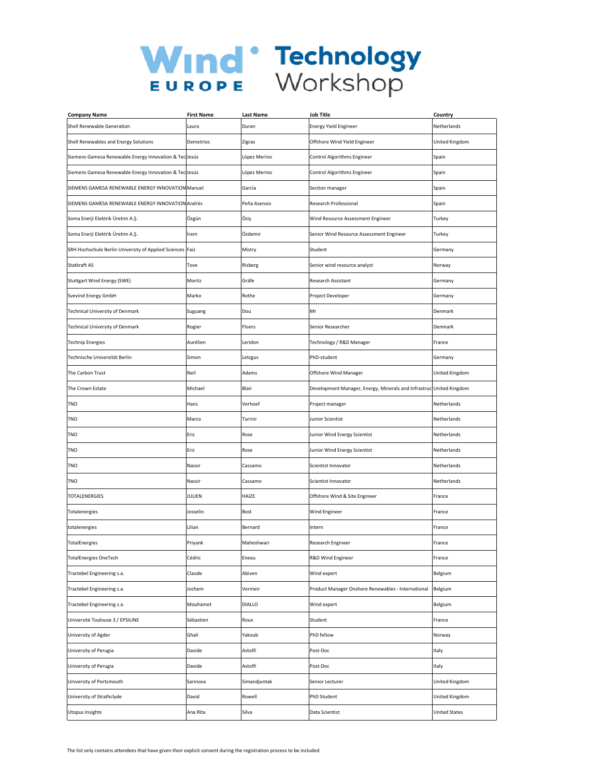| <b>Company Name</b>                                       | <b>First Name</b> | Last Name    | <b>Job Title</b>                                     | Country              |
|-----------------------------------------------------------|-------------------|--------------|------------------------------------------------------|----------------------|
| Shell Renewable Generation                                | Laura             | Duran        | <b>Energy Yield Engineer</b>                         | Netherlands          |
| Shell Renewables and Energy Solutions                     | Demetrios         | Zigras       | Offshore Wind Yield Engineer                         | United Kingdom       |
| Siemens Gamesa Renewable Energy Innovation & Tec Jesús    |                   | López Merino | Control Algorithms Engineer                          | Spain                |
| Siemens Gamesa Renewable Energy Innovation & Tec Jesús    |                   | López Merino | Control Algorithms Engineer                          | Spain                |
| SIEMENS GAMESA RENEWABLE ENERGY INNOVATION Manuel         |                   | García       | Section manager                                      | Spain                |
| SIEMENS GAMESA RENEWABLE ENERGY INNOVATION Andrés         |                   | Peña Asensio | Research Professional                                | Spain                |
| Soma Enerji Elektrik Üretim A.Ş.                          | Özgün             | Öziş         | Wind Resource Assessment Engineer                    | Turkey               |
| Soma Enerji Elektrik Üretim A.Ş.                          | İrem              | Özdemir      | Senior Wind Resource Assessment Engineer             | Turkey               |
| SRH Hochschule Berlin University of Applied Sciences Faiz |                   | Mistry       | Student                                              | Germany              |
| Statkraft AS                                              | Tove              | Risberg      | Senior wind resource analyst                         | Norway               |
| <b>Stuttgart Wind Energy (SWE)</b>                        | Moritz            | Gräfe        | Research Assistant                                   | Germany              |
| Svevind Energy GmbH                                       | Marko             | Rothe        | Project Developer                                    | Germany              |
| Technical University of Denmark                           | Suguang           | Dou          | Mr                                                   | Denmark              |
| Technical University of Denmark                           | Rogier            | Floors       | Senior Researcher                                    | Denmark              |
| <b>Technip Energies</b>                                   | Aurélien          | Leridon      | Technology / R&D Manager                             | France               |
| Technische Universität Berlin                             | Simon             | Letzgus      | PhD-student                                          | Germany              |
| The Carbon Trust                                          | Neil              | Adams        | Offshore Wind Manager                                | United Kingdom       |
| The Crown Estate                                          | Michael           | Blair        | Development Manager, Energy, Minerals and Infrastruc | United Kingdom       |
| TNO                                                       | Hans              | Verhoef      | Project manager                                      | Netherlands          |
| TNO                                                       | Marco             | Turrini      | Junior Scientist                                     | Netherlands          |
| <b>TNO</b>                                                | Eric              | Rose         | Junior Wind Energy Scientist                         | Netherlands          |
| TNO                                                       | Eric              | Rose         | Junior Wind Energy Scientist                         | Netherlands          |
| TNO                                                       | Nassir            | Cassamo      | Scientist Innovator                                  | Netherlands          |
| TNO                                                       | Nassir            | Cassamo      | Scientist Innovator                                  | Netherlands          |
| <b>TOTALENERGIES</b>                                      | JULIEN            | HAIZE        | Offshore Wind & Site Engineer                        | France               |
| Totalenergies                                             | Josselin          | Bost         | Wind Engineer                                        | France               |
| totalenergies                                             | Lilian            | Bernard      | Intern                                               | France               |
| TotalEnergies                                             | Priyank           | Maheshwari   | Research Engineer                                    | France               |
| <b>TotalEnergies OneTech</b>                              | Cédric            | Eneau        | R&D Wind Engineer                                    | France               |
| Tractebel Engineering s.a.                                | Claude            | Abiven       | Wind expert                                          | Belgium              |
| Tractebel Engineering s.a.                                | Jochem            | Vermeir      | Product Manager Onshore Renewables - International   | Belgium              |
| Tractebel Engineering s.a.                                | Mouhamet          | DIALLO       | Wind expert                                          | Belgium              |
| Université Toulouse 3 / EPSILINE                          | Sébastien         | Roux         | Student                                              | France               |
| University of Agder                                       | Ghali             | Yakoub       | PhD fellow                                           | Norway               |
| University of Perugia                                     | Davide            | Astolfi      | Post-Doc                                             | Italy                |
| University of Perugia                                     | Davide            | Astolfi      | Post-Doc                                             | Italy                |
| University of Portsmouth                                  | Sarinova          | Simandjuntak | Senior Lecturer                                      | United Kingdom       |
| University of Strathclyde                                 | David             | Rowell       | PhD Student                                          | United Kingdom       |
| Utopus Insights                                           | Ana Rita          | Silva        | Data Scientist                                       | <b>United States</b> |